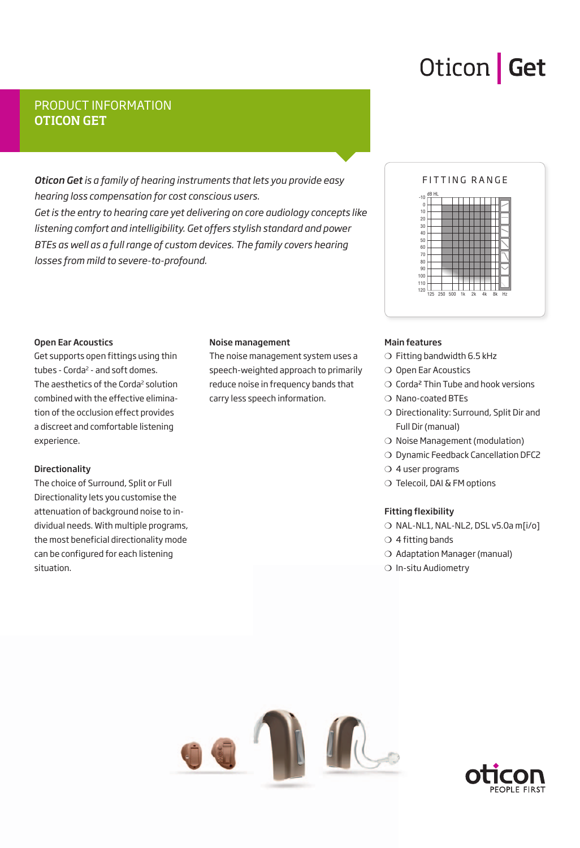## Oticon | Get

### PRODUCT INFORMATION OTICON GET

*Oticon Get is a family of hearing instruments that lets you provide easy hearing loss compensation for cost conscious users. Get is the entry to hearing care yet delivering on core audiology concepts like listening comfort and intelligibility. Get offers stylish standard and power BTEs as well as a full range of custom devices. The family covers hearing losses from mild to severe-to-profound.*

### FITTING RANGE



#### Open Ear Acoustics

Get supports open fittings using thin tubes - Corda<sup>2</sup> - and soft domes. The aesthetics of the Corda<sup>2</sup> solution combined with the effective elimination of the occlusion effect provides a discreet and comfortable listening experience.

#### **Directionality**

The choice of Surround, Split or Full Directionality lets you customise the attenuation of background noise to individual needs. With multiple programs, the most beneficial directionality mode can be configured for each listening situation.

#### Noise management

The noise management system uses a speech-weighted approach to primarily reduce noise in frequency bands that carry less speech information.

#### Main features

- ❍ Fitting bandwidth 6.5 kHz
- ❍ Open Ear Acoustics
- $\bigcirc$  Corda<sup>2</sup> Thin Tube and hook versions
- ❍ Nano-coated BTEs
- ❍ Directionality: Surround, Split Dir and Full Dir (manual)
- ❍ Noise Management (modulation)
- ❍ Dynamic Feedback Cancellation DFC2
- ❍ 4 user programs
- ❍ Telecoil, DAI & FM options

#### Fitting flexibility

- ❍ NAL-NL1, NAL-NL2, DSL v5.0a m[i/o]
- $\bigcirc$  4 fitting bands
- ❍ Adaptation Manager (manual)
- ❍ In-situ Audiometry



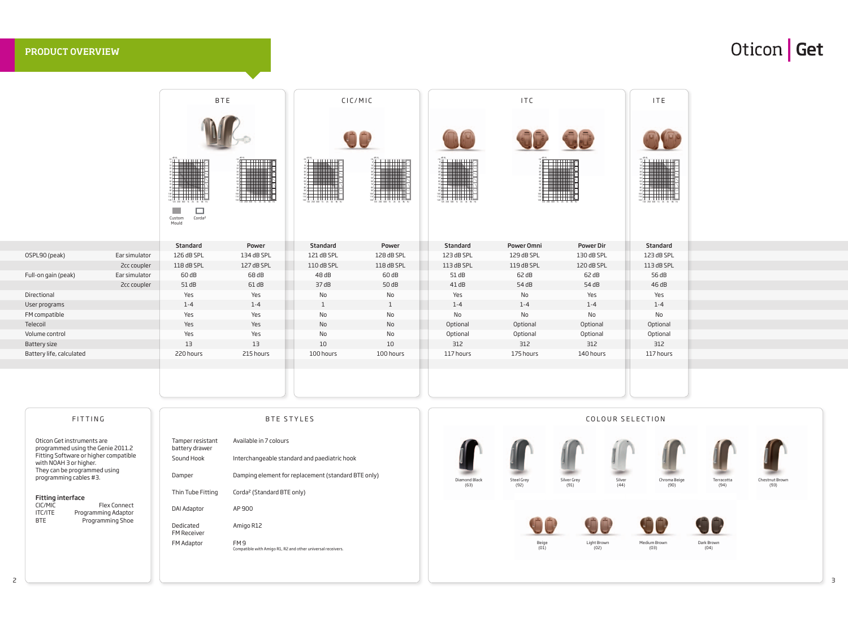| FITTING                                                                                                                                                                                                                  |                                                                                 | <b>BTE STYLES</b>                                                                                                                                                       |                       |                           | COLOUR SELECTION    |                       |  |  |
|--------------------------------------------------------------------------------------------------------------------------------------------------------------------------------------------------------------------------|---------------------------------------------------------------------------------|-------------------------------------------------------------------------------------------------------------------------------------------------------------------------|-----------------------|---------------------------|---------------------|-----------------------|--|--|
| Oticon Get instruments are<br>programmed using the Genie 2011.2<br>Fitting Software or higher compatible<br>with NOAH 3 or higher.<br>They can be programmed using<br>programming cables #3.<br><b>Fitting interface</b> | Tamper resistant<br>battery drawer<br>Sound Hook<br>Damper<br>Thin Tube Fitting | Available in 7 colours<br>Interchangeable standard and paediatric hook<br>Damping element for replacement (standard BTE only)<br>Corda <sup>2</sup> (Standard BTE only) | Diamond Black<br>(63) | <b>Steel Grey</b><br>(92) | Silver Grey<br>(91) | Silver<br>Chr<br>(44) |  |  |
| CIC/MIC<br>Flex Connect<br><b>ITC/ITE</b><br>Programming Adaptor<br><b>BTE</b><br>Programming Shoe                                                                                                                       | DAI Adaptor<br>Dedicated<br><b>FM Receiver</b>                                  | AP 900<br>Amigo R12                                                                                                                                                     |                       |                           |                     |                       |  |  |
|                                                                                                                                                                                                                          | FM Adaptor                                                                      | FM <sub>9</sub><br>Compatible with Amigo R1, R2 and other universal receivers.                                                                                          |                       | Beige<br>(01)             | Light Brown<br>(02) | Medium Brow<br>(03)   |  |  |

|                          |               |                                                                                      | <b>BTE</b>                             |                                   | CIC/MIC                                |                                            | <b>ITC</b>                 |                  | ITE                      |
|--------------------------|---------------|--------------------------------------------------------------------------------------|----------------------------------------|-----------------------------------|----------------------------------------|--------------------------------------------|----------------------------|------------------|--------------------------|
|                          |               |                                                                                      |                                        |                                   | OC                                     |                                            |                            | <b>UC</b>        |                          |
|                          |               | $\frac{1000\text{ Hz}}{2000\text{ Hz}}$<br>110<br>120<br>125 250 500 1k 2k 4k 8k Hz  | $\frac{1}{125}$ 250 500 1k 2k 4k 8k Hz | 120<br>125 250 500 1k 2k 4k 8k Hz | $\frac{1}{125}$ 250 500 1k 2k 4k 8k Hz | $\frac{1}{120}$ 125 250 500 1k 2k 4k 8k Hz | 125 250 500 1k 2k 4k 8k Hz |                  | 5 250 500 1k 2k 4k 8k Hz |
|                          |               | $\Box$<br><b>College</b><br>Corda <sup>2</sup><br>Custom<br>Mould<br><b>Standard</b> | Power                                  | <b>Standard</b>                   | Power                                  | <b>Standard</b>                            | Power Omni                 | <b>Power Dir</b> | Standard                 |
| OSPL90 (peak)            | Ear simulator | 126 dB SPL                                                                           | 134 dB SPL                             | 121 dB SPL                        | 128 dB SPL                             | 123 dB SPL                                 | 129 dB SPL                 | 130 dB SPL       | 123 dB SPL               |
|                          | 2cc coupler   | 118 dB SPL                                                                           | 127 dB SPL                             | 110 dB SPL                        | 118 dB SPL                             | 113 dB SPL                                 | 119 dB SPL                 | 120 dB SPL       | 113 dB SPL               |
| Full-on gain (peak)      | Ear simulator | 60 dB                                                                                | 68 dB                                  | 48dB                              | 60dB                                   | 51dB                                       | 62 dB                      | 62 dB            | 56 dB                    |
|                          | 2cc coupler   | 51dB                                                                                 | 61dB                                   | 37dB                              | 50 dB                                  | 41dB                                       | 54 dB                      | 54 dB            | 46dB                     |
| Directional              |               | Yes                                                                                  | Yes                                    | No                                | No                                     | Yes                                        | No                         | Yes              | Yes                      |
| User programs            |               | $1 - 4$                                                                              | $1 - 4$                                | $\mathbf{1}$                      | 1                                      | $1 - 4$                                    | $1 - 4$                    | $1 - 4$          | $1 - 4$                  |
| FM compatible            |               | Yes                                                                                  | Yes                                    | No                                | No                                     | No                                         | No                         | No               | No                       |
| Telecoil                 |               | Yes                                                                                  | Yes                                    | No                                | No                                     | Optional                                   | Optional                   | Optional         | Optional                 |
| Volume control           |               | Yes                                                                                  | Yes                                    | No                                | No                                     | Optional                                   | Optional                   | Optional         | Optional                 |
| Battery size             |               | 13                                                                                   | 13                                     | 10                                | 10                                     | 312                                        | 312                        | 312              | 312                      |
| Battery life, calculated |               | 220 hours                                                                            | 215 hours                              | 100 hours                         | 100 hours                              | 117 hours                                  | 175 hours                  | 140 hours        | 117 hours                |
|                          |               |                                                                                      |                                        |                                   |                                        |                                            |                            |                  |                          |
|                          |               |                                                                                      |                                        |                                   |                                        |                                            |                            |                  |                          |
|                          |               |                                                                                      |                                        |                                   |                                        |                                            |                            |                  |                          |
|                          |               |                                                                                      |                                        |                                   |                                        |                                            |                            |                  |                          |

### PRODUCT OVERVIEW







Dark Brown (04)





Chestnut Brown (93)

# Oticon Get

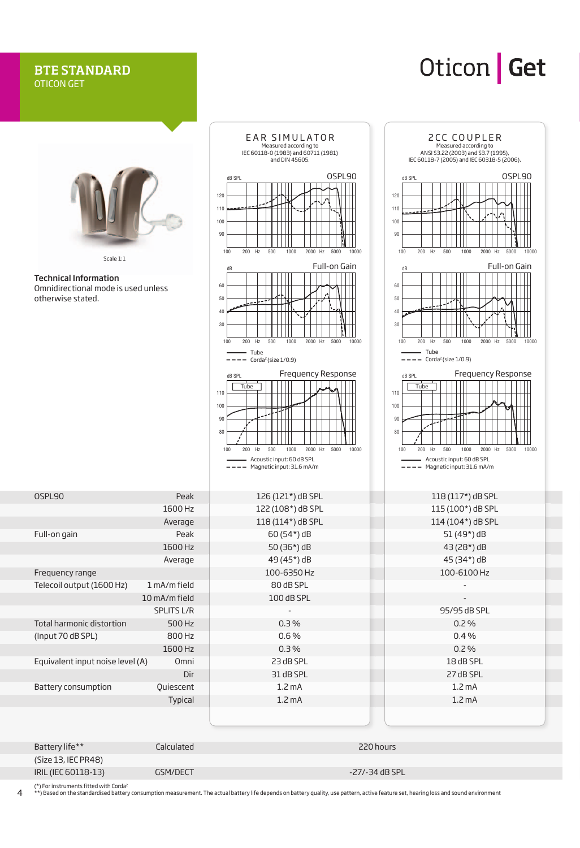### BTE STANDARD OTICON GET

### Oticon Get



(Size 13, IEC PR48) IRIL (IEC 60118-13) GSM/DECT -27/-34 dB SPL

(\*) For instruments fitted with Corda2

\*) Based on the standardised battery consumption measurement. The actual battery life depends on battery quality, use pattern, active feature set, hearing loss and sound environment

4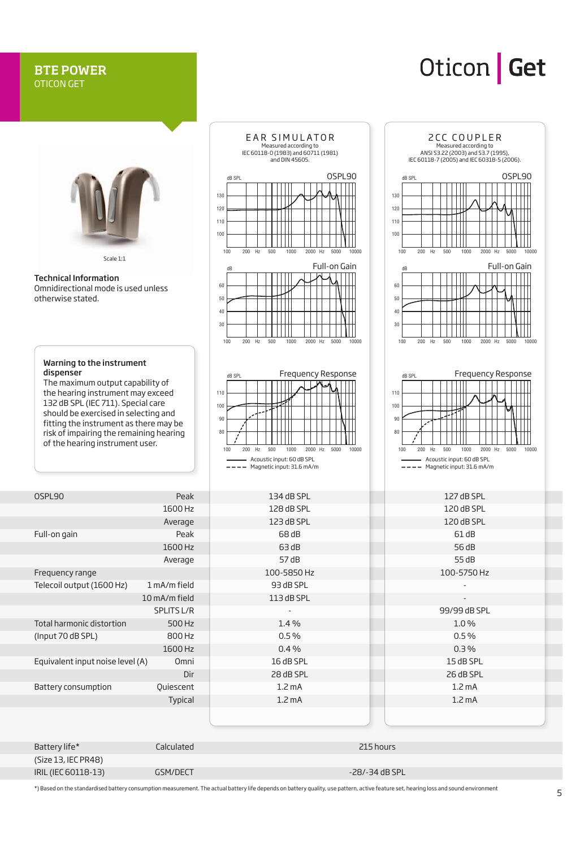#### BTE POWER OTICON GET

### Oticon Get



| (Size 13, IEC PR48) |          |                   |
|---------------------|----------|-------------------|
| IRIL (IEC 60118-13) | GSM/DECT | $-28/ -34$ dB SPL |
|                     |          |                   |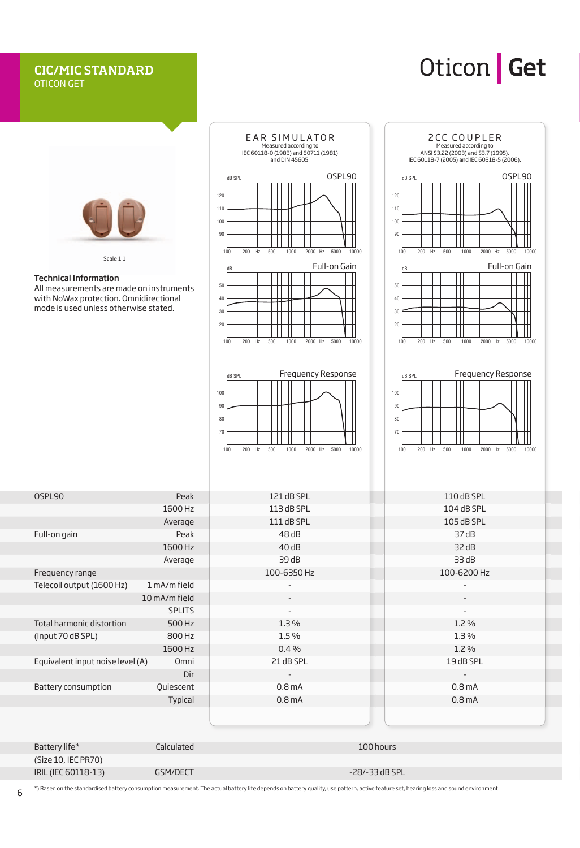### CIC/MIC STANDARD OTICON GET

### Oticon Get



|                            | --------- | --------         |
|----------------------------|-----------|------------------|
| (Size 10, IEC PR70)        |           |                  |
| <b>IRIL (IEC 60118-13)</b> | GSM/DECT  | $-28/-33$ dB SPL |
|                            |           |                  |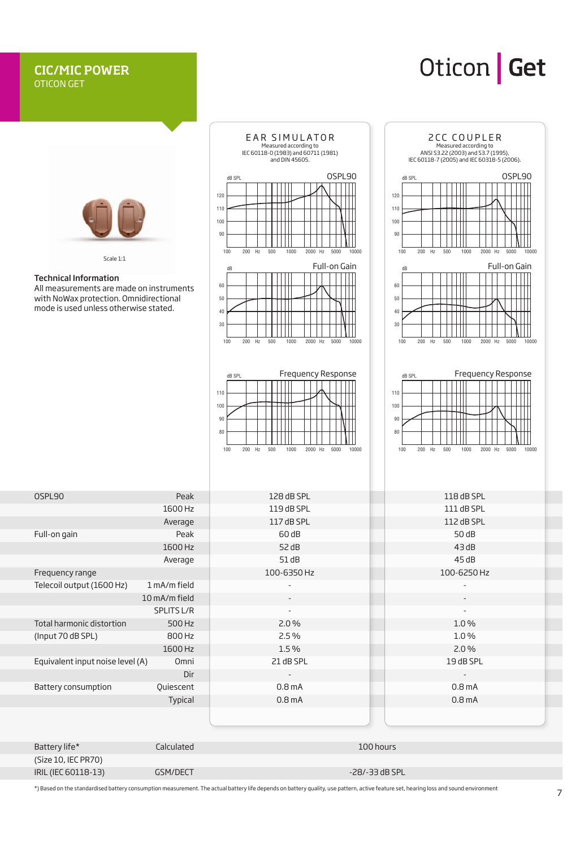#### CIC/MIC POWER OTICON GET

### Oticon Get

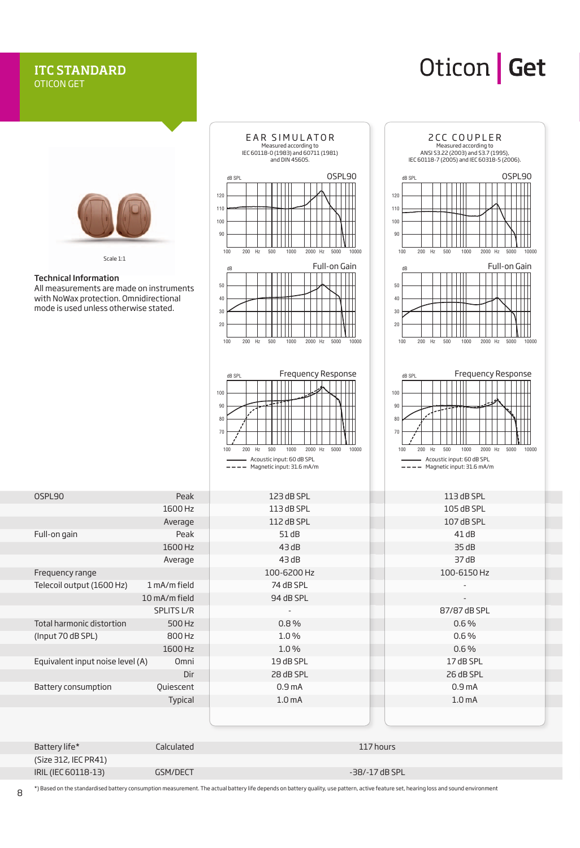#### ITC STANDARD OTICON GET

### Oticon Get



| $-$ - $-$ - $   -$         | --------------- | --------------    |
|----------------------------|-----------------|-------------------|
| (Size 312, IEC PR41)       |                 |                   |
| <b>IRIL (IEC 60118-13)</b> | GSM/DECT        | $-38/ -17$ dB SPL |
|                            |                 |                   |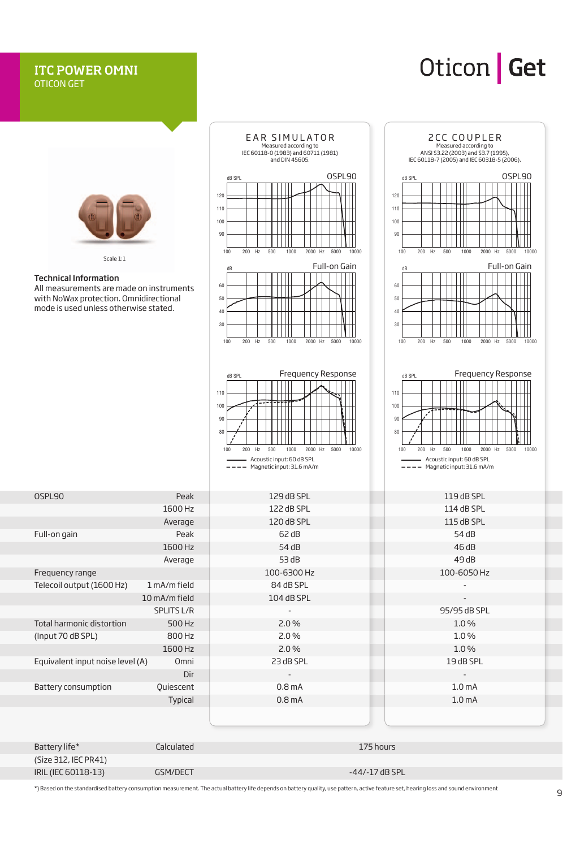### ITC POWER OMNI OTICON GET

## Oticon | Get



IRIL (IEC 60118-13) GSM/DECT -44/-17 dB SPL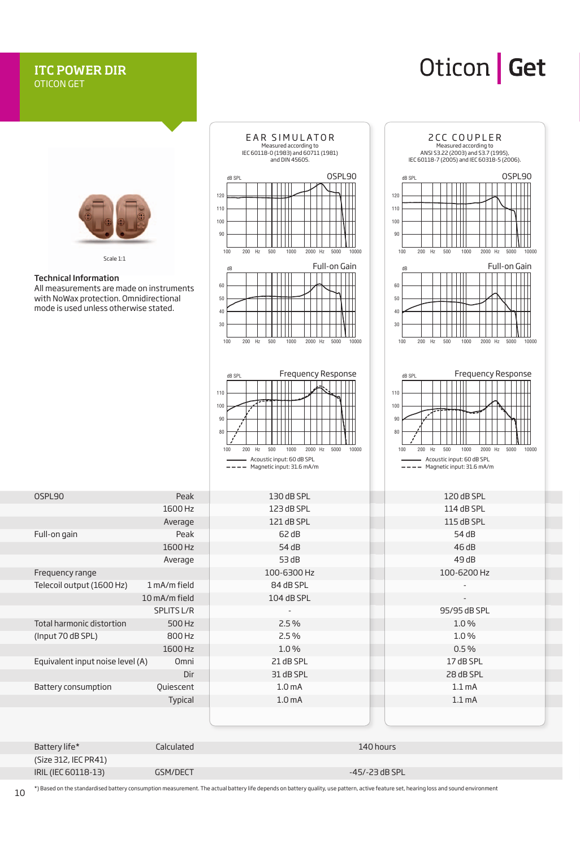### ITC POWER DIR OTICON GET

### Oticon Get



| (Size 312, IEC PR41) |          |                  |
|----------------------|----------|------------------|
| IRIL (IEC 60118-13)  | GSM/DECT | $-45/-23$ dB SPL |
|                      |          |                  |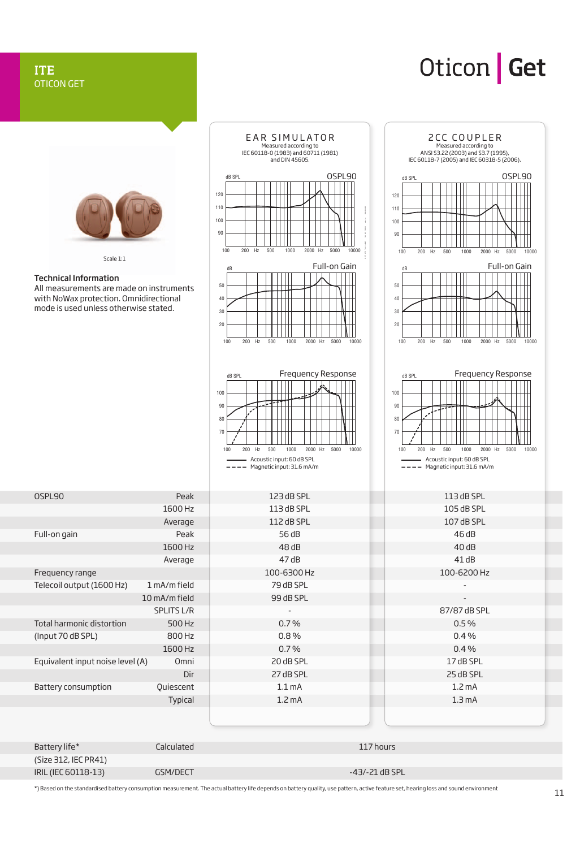### ITE OTICON GET

## Oticon | Get



(Size 312, IEC PR41) IRIL (IEC 60118-13) GSM/DECT -43/-21 dB SPL -43/-21 dB SPL